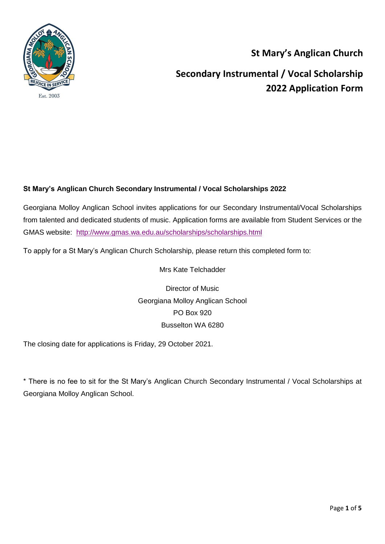

### **St Mary's Anglican Church**

**Secondary Instrumental / Vocal Scholarship 2022 Application Form**

### **St Mary's Anglican Church Secondary Instrumental / Vocal Scholarships 2022**

Georgiana Molloy Anglican School invites applications for our Secondary Instrumental/Vocal Scholarships from talented and dedicated students of music. Application forms are available from Student Services or the GMAS website: <http://www.gmas.wa.edu.au/scholarships/scholarships.html>

To apply for a St Mary's Anglican Church Scholarship, please return this completed form to:

Mrs Kate Telchadder

Director of Music Georgiana Molloy Anglican School PO Box 920 Busselton WA 6280

The closing date for applications is Friday, 29 October 2021.

\* There is no fee to sit for the St Mary's Anglican Church Secondary Instrumental / Vocal Scholarships at Georgiana Molloy Anglican School.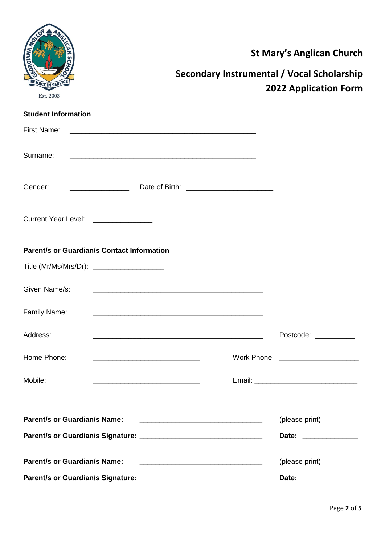| <sup>I</sup> CE IN SE<br>Est. 2003                | Secondary Instrumental / Vocal Scholarship                                                                            | <b>St Mary's Anglican Church</b><br><b>2022 Application Form</b> |
|---------------------------------------------------|-----------------------------------------------------------------------------------------------------------------------|------------------------------------------------------------------|
| <b>Student Information</b>                        |                                                                                                                       |                                                                  |
| <b>First Name:</b>                                |                                                                                                                       |                                                                  |
| Surname:                                          |                                                                                                                       |                                                                  |
| Gender:                                           |                                                                                                                       |                                                                  |
| Current Year Level: ______________                |                                                                                                                       |                                                                  |
| <b>Parent/s or Guardian/s Contact Information</b> |                                                                                                                       |                                                                  |
| Title (Mr/Ms/Mrs/Dr): _____________________       |                                                                                                                       |                                                                  |
| Given Name/s:                                     |                                                                                                                       |                                                                  |
| Family Name:                                      |                                                                                                                       |                                                                  |
| Address:                                          | <u> 1989 - Johann Stoff, deutscher Stoff, der Stoff, der Stoff, der Stoff, der Stoff, der Stoff, der Stoff, der S</u> | Postcode: __________                                             |
| Home Phone:                                       |                                                                                                                       | Work Phone: _____________________                                |
| Mobile:                                           |                                                                                                                       |                                                                  |
|                                                   |                                                                                                                       |                                                                  |
| <b>Parent/s or Guardian/s Name:</b>               |                                                                                                                       | (please print)                                                   |
|                                                   |                                                                                                                       | Date: _______________                                            |
| <b>Parent/s or Guardian/s Name:</b>               | <u> 1980 - Jan Samuel Barbara, margaret eta idazlea (h. 1980).</u>                                                    | (please print)                                                   |
|                                                   |                                                                                                                       | Date: ______________                                             |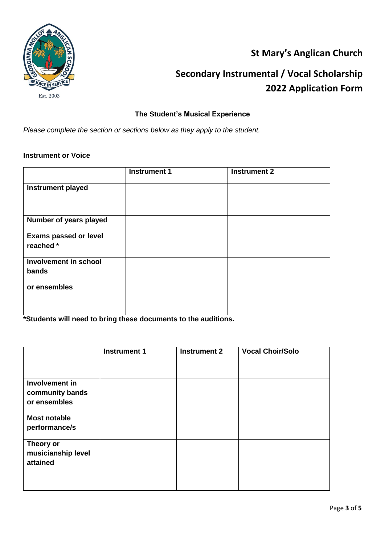

## **St Mary's Anglican Church**

# **Secondary Instrumental / Vocal Scholarship 2022 Application Form**

### **The Student's Musical Experience**

*Please complete the section or sections below as they apply to the student.*

#### **Instrument or Voice**

|                                | <b>Instrument 1</b> | <b>Instrument 2</b> |
|--------------------------------|---------------------|---------------------|
| <b>Instrument played</b>       |                     |                     |
|                                |                     |                     |
| Number of years played         |                     |                     |
| <b>Exams passed or level</b>   |                     |                     |
| reached *                      |                     |                     |
| Involvement in school<br>bands |                     |                     |
| or ensembles                   |                     |                     |
|                                |                     |                     |
|                                |                     |                     |

**\*Students will need to bring these documents to the auditions.**

|                                                   | <b>Instrument 1</b> | <b>Instrument 2</b> | <b>Vocal Choir/Solo</b> |
|---------------------------------------------------|---------------------|---------------------|-------------------------|
|                                                   |                     |                     |                         |
| Involvement in<br>community bands<br>or ensembles |                     |                     |                         |
| <b>Most notable</b><br>performance/s              |                     |                     |                         |
| Theory or<br>musicianship level<br>attained       |                     |                     |                         |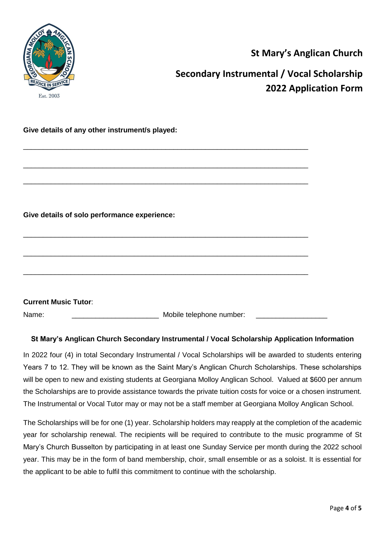

### **St Mary's Anglican Church**

## **Secondary Instrumental / Vocal Scholarship 2022 Application Form**

#### **Give details of any other instrument/s played:**

| Give details of solo performance experience: |  |  |  |  |  |
|----------------------------------------------|--|--|--|--|--|
|                                              |  |  |  |  |  |
|                                              |  |  |  |  |  |

\_\_\_\_\_\_\_\_\_\_\_\_\_\_\_\_\_\_\_\_\_\_\_\_\_\_\_\_\_\_\_\_\_\_\_\_\_\_\_\_\_\_\_\_\_\_\_\_\_\_\_\_\_\_\_\_\_\_\_\_\_\_\_\_\_\_\_\_\_\_\_\_

\_\_\_\_\_\_\_\_\_\_\_\_\_\_\_\_\_\_\_\_\_\_\_\_\_\_\_\_\_\_\_\_\_\_\_\_\_\_\_\_\_\_\_\_\_\_\_\_\_\_\_\_\_\_\_\_\_\_\_\_\_\_\_\_\_\_\_\_\_\_\_\_

\_\_\_\_\_\_\_\_\_\_\_\_\_\_\_\_\_\_\_\_\_\_\_\_\_\_\_\_\_\_\_\_\_\_\_\_\_\_\_\_\_\_\_\_\_\_\_\_\_\_\_\_\_\_\_\_\_\_\_\_\_\_\_\_\_\_\_\_\_\_\_\_

| <b>Current Music Tutor:</b> |                          |  |
|-----------------------------|--------------------------|--|
| Name:                       | Mobile telephone number: |  |

#### **St Mary's Anglican Church Secondary Instrumental / Vocal Scholarship Application Information**

In 2022 four (4) in total Secondary Instrumental / Vocal Scholarships will be awarded to students entering Years 7 to 12. They will be known as the Saint Mary's Anglican Church Scholarships. These scholarships will be open to new and existing students at Georgiana Molloy Anglican School. Valued at \$600 per annum the Scholarships are to provide assistance towards the private tuition costs for voice or a chosen instrument. The Instrumental or Vocal Tutor may or may not be a staff member at Georgiana Molloy Anglican School.

The Scholarships will be for one (1) year. Scholarship holders may reapply at the completion of the academic year for scholarship renewal. The recipients will be required to contribute to the music programme of St Mary's Church Busselton by participating in at least one Sunday Service per month during the 2022 school year. This may be in the form of band membership, choir, small ensemble or as a soloist. It is essential for the applicant to be able to fulfil this commitment to continue with the scholarship.